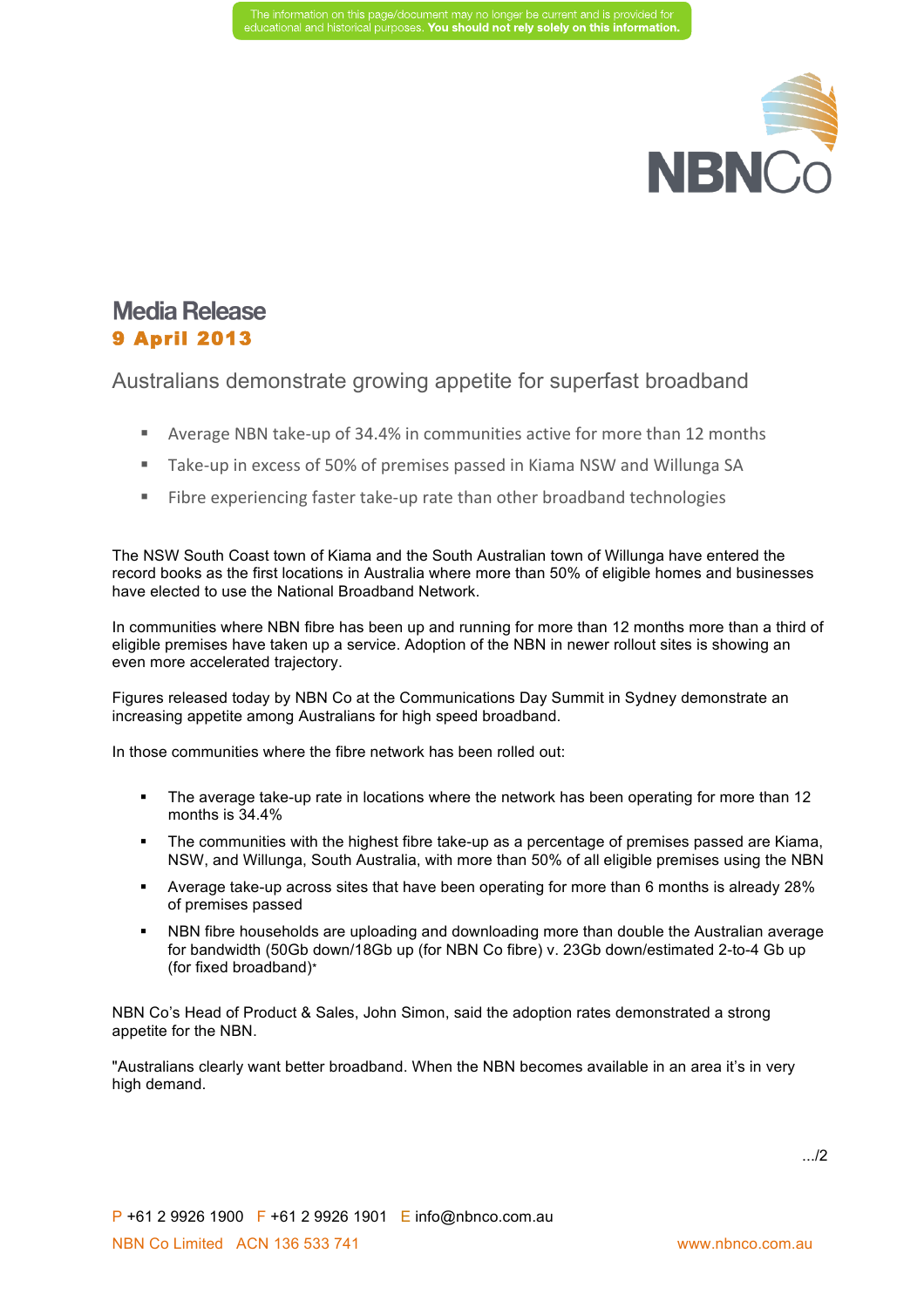

## **Media Release** 9 April 2013

Australians demonstrate growing appetite for superfast broadband

- Average NBN take-up of 34.4% in communities active for more than 12 months
- Take-up in excess of 50% of premises passed in Kiama NSW and Willunga SA
- Fibre experiencing faster take-up rate than other broadband technologies

The NSW South Coast town of Kiama and the South Australian town of Willunga have entered the record books as the first locations in Australia where more than 50% of eligible homes and businesses have elected to use the National Broadband Network.

In communities where NBN fibre has been up and running for more than 12 months more than a third of eligible premises have taken up a service. Adoption of the NBN in newer rollout sites is showing an even more accelerated trajectory.

Figures released today by NBN Co at the Communications Day Summit in Sydney demonstrate an increasing appetite among Australians for high speed broadband.

In those communities where the fibre network has been rolled out:

- The average take-up rate in locations where the network has been operating for more than 12 months is 34.4%
- § The communities with the highest fibre take-up as a percentage of premises passed are Kiama, NSW, and Willunga, South Australia, with more than 50% of all eligible premises using the NBN
- § Average take-up across sites that have been operating for more than 6 months is already 28% of premises passed
- NBN fibre households are uploading and downloading more than double the Australian average for bandwidth (50Gb down/18Gb up (for NBN Co fibre) v. 23Gb down/estimated 2-to-4 Gb up (for fixed broadband)\*

NBN Co's Head of Product & Sales, John Simon, said the adoption rates demonstrated a strong appetite for the NBN.

"Australians clearly want better broadband. When the NBN becomes available in an area it's in very high demand.